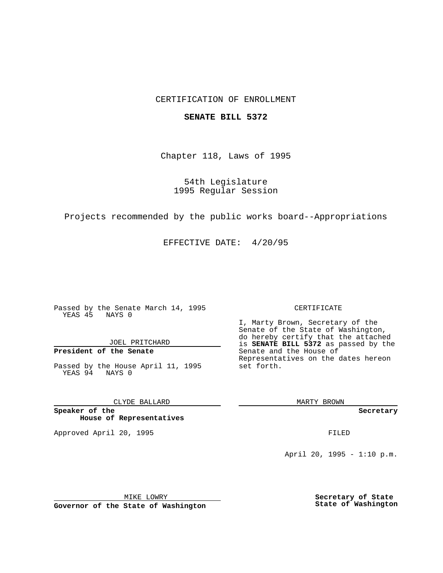### CERTIFICATION OF ENROLLMENT

#### **SENATE BILL 5372**

Chapter 118, Laws of 1995

54th Legislature 1995 Regular Session

Projects recommended by the public works board--Appropriations

EFFECTIVE DATE: 4/20/95

Passed by the Senate March 14, 1995 YEAS 45 NAYS 0

JOEL PRITCHARD

# **President of the Senate**

Passed by the House April 11, 1995 YEAS 94 NAYS 0

CLYDE BALLARD

**Speaker of the House of Representatives**

Approved April 20, 1995 FILED

#### CERTIFICATE

I, Marty Brown, Secretary of the Senate of the State of Washington, do hereby certify that the attached is **SENATE BILL 5372** as passed by the Senate and the House of Representatives on the dates hereon set forth.

MARTY BROWN

**Secretary**

April 20, 1995 - 1:10 p.m.

MIKE LOWRY **Governor of the State of Washington** **Secretary of State State of Washington**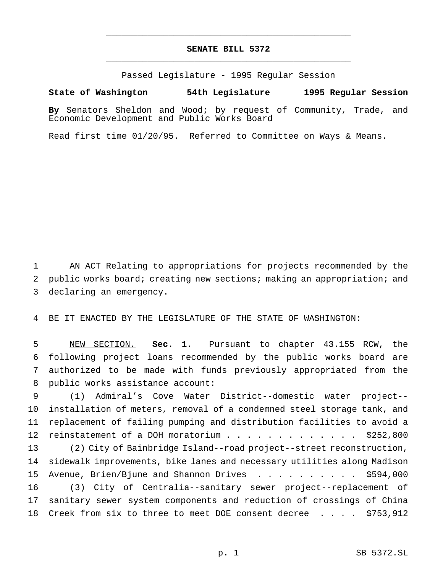## **SENATE BILL 5372** \_\_\_\_\_\_\_\_\_\_\_\_\_\_\_\_\_\_\_\_\_\_\_\_\_\_\_\_\_\_\_\_\_\_\_\_\_\_\_\_\_\_\_\_\_\_\_

\_\_\_\_\_\_\_\_\_\_\_\_\_\_\_\_\_\_\_\_\_\_\_\_\_\_\_\_\_\_\_\_\_\_\_\_\_\_\_\_\_\_\_\_\_\_\_

Passed Legislature - 1995 Regular Session

**State of Washington 54th Legislature 1995 Regular Session**

**By** Senators Sheldon and Wood; by request of Community, Trade, and Economic Development and Public Works Board

Read first time 01/20/95. Referred to Committee on Ways & Means.

 AN ACT Relating to appropriations for projects recommended by the public works board; creating new sections; making an appropriation; and declaring an emergency.

BE IT ENACTED BY THE LEGISLATURE OF THE STATE OF WASHINGTON:

 NEW SECTION. **Sec. 1.** Pursuant to chapter 43.155 RCW, the following project loans recommended by the public works board are authorized to be made with funds previously appropriated from the public works assistance account:

 (1) Admiral's Cove Water District--domestic water project-- installation of meters, removal of a condemned steel storage tank, and replacement of failing pumping and distribution facilities to avoid a 12 reinstatement of a DOH moratorium . . . . . . . . . . . . \$252,800 (2) City of Bainbridge Island--road project--street reconstruction, sidewalk improvements, bike lanes and necessary utilities along Madison Avenue, Brien/Bjune and Shannon Drives .......... \$594,000 (3) City of Centralia--sanitary sewer project--replacement of sanitary sewer system components and reduction of crossings of China Creek from six to three to meet DOE consent decree .... \$753,912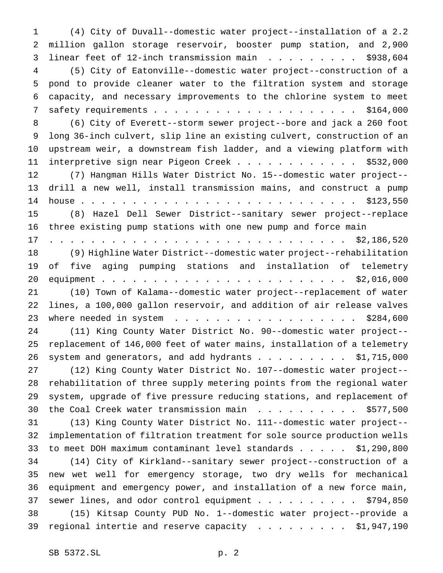(4) City of Duvall--domestic water project--installation of a 2.2 million gallon storage reservoir, booster pump station, and 2,900 3 linear feet of 12-inch transmission main . . . . . . . . . \$938,604 (5) City of Eatonville--domestic water project--construction of a pond to provide cleaner water to the filtration system and storage capacity, and necessary improvements to the chlorine system to meet safety requirements.................... \$164,000 (6) City of Everett--storm sewer project--bore and jack a 260 foot long 36-inch culvert, slip line an existing culvert, construction of an upstream weir, a downstream fish ladder, and a viewing platform with 11 interpretive sign near Pigeon Creek . . . . . . . . . . . . \$532,000 (7) Hangman Hills Water District No. 15--domestic water project-- drill a new well, install transmission mains, and construct a pump house........................... \$123,550 (8) Hazel Dell Sewer District--sanitary sewer project--replace three existing pump stations with one new pump and force main ............................. \$2,186,520 (9) Highline Water District--domestic water project--rehabilitation of five aging pumping stations and installation of telemetry equipment........................ \$2,016,000 (10) Town of Kalama--domestic water project--replacement of water lines, a 100,000 gallon reservoir, and addition of air release valves 23 where needed in system . . . . . . . . . . . . . . . . . . \$284,600 (11) King County Water District No. 90--domestic water project-- replacement of 146,000 feet of water mains, installation of a telemetry 26 system and generators, and add hydrants . . . . . . . . . \$1,715,000 (12) King County Water District No. 107--domestic water project-- rehabilitation of three supply metering points from the regional water system, upgrade of five pressure reducing stations, and replacement of 30 the Coal Creek water transmission main . . . . . . . . . . \$577,500 (13) King County Water District No. 111--domestic water project-- implementation of filtration treatment for sole source production wells to meet DOH maximum contaminant level standards..... \$1,290,800 (14) City of Kirkland--sanitary sewer project--construction of a new wet well for emergency storage, two dry wells for mechanical equipment and emergency power, and installation of a new force main, 37 sewer lines, and odor control equipment . . . . . . . . . . \$794,850 (15) Kitsap County PUD No. 1--domestic water project--provide a 39 regional intertie and reserve capacity  $\ldots$ ....... \$1,947,190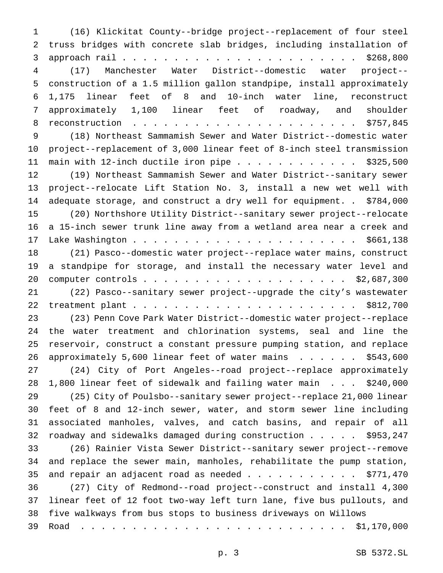(16) Klickitat County--bridge project--replacement of four steel truss bridges with concrete slab bridges, including installation of approach rail....................... \$268,800 (17) Manchester Water District--domestic water project-- construction of a 1.5 million gallon standpipe, install approximately 1,175 linear feet of 8 and 10-inch water line, reconstruct approximately 1,100 linear feet of roadway, and shoulder reconstruction ...................... \$757,845 (18) Northeast Sammamish Sewer and Water District--domestic water project--replacement of 3,000 linear feet of 8-inch steel transmission 11 main with 12-inch ductile iron pipe  $\ldots$ ............... \$325,500 (19) Northeast Sammamish Sewer and Water District--sanitary sewer project--relocate Lift Station No. 3, install a new wet well with adequate storage, and construct a dry well for equipment. . \$784,000 (20) Northshore Utility District--sanitary sewer project--relocate a 15-inch sewer trunk line away from a wetland area near a creek and Lake Washington...................... \$661,138 (21) Pasco--domestic water project--replace water mains, construct a standpipe for storage, and install the necessary water level and computer controls.................... \$2,687,300 (22) Pasco--sanitary sewer project--upgrade the city's wastewater treatment plant...................... \$812,700 (23) Penn Cove Park Water District--domestic water project--replace the water treatment and chlorination systems, seal and line the reservoir, construct a constant pressure pumping station, and replace approximately 5,600 linear feet of water mains ...... \$543,600 (24) City of Port Angeles--road project--replace approximately 1,800 linear feet of sidewalk and failing water main . . . \$240,000 (25) City of Poulsbo--sanitary sewer project--replace 21,000 linear feet of 8 and 12-inch sewer, water, and storm sewer line including associated manholes, valves, and catch basins, and repair of all roadway and sidewalks damaged during construction..... \$953,247 (26) Rainier Vista Sewer District--sanitary sewer project--remove and replace the sewer main, manholes, rehabilitate the pump station, 35 and repair an adjacent road as needed  $\ldots$ ......... \$771,470 (27) City of Redmond--road project--construct and install 4,300 linear feet of 12 foot two-way left turn lane, five bus pullouts, and five walkways from bus stops to business driveways on Willows Road .......................... \$1,170,000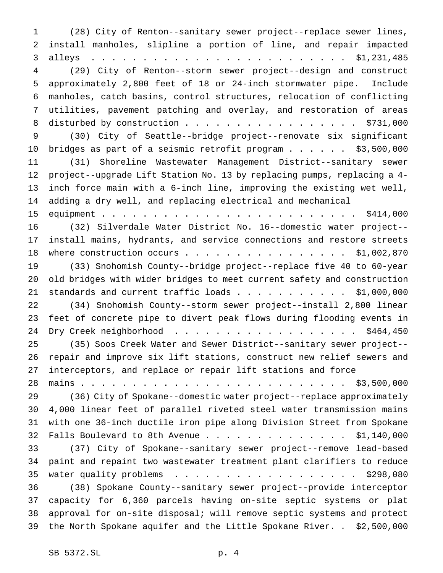(28) City of Renton--sanitary sewer project--replace sewer lines, install manholes, slipline a portion of line, and repair impacted alleys ......................... \$1,231,485 (29) City of Renton--storm sewer project--design and construct approximately 2,800 feet of 18 or 24-inch stormwater pipe. Include manholes, catch basins, control structures, relocation of conflicting utilities, pavement patching and overlay, and restoration of areas 8 disturbed by construction . . . . . . . . . . . . . . . . \$731,000 (30) City of Seattle--bridge project--renovate six significant bridges as part of a seismic retrofit program...... \$3,500,000 (31) Shoreline Wastewater Management District--sanitary sewer project--upgrade Lift Station No. 13 by replacing pumps, replacing a 4- inch force main with a 6-inch line, improving the existing wet well, adding a dry well, and replacing electrical and mechanical equipment......................... \$414,000 (32) Silverdale Water District No. 16--domestic water project-- install mains, hydrants, and service connections and restore streets 18 where construction occurs . . . . . . . . . . . . . . . \$1,002,870 (33) Snohomish County--bridge project--replace five 40 to 60-year old bridges with wider bridges to meet current safety and construction 21 standards and current traffic loads . . . . . . . . . . \$1,000,000 (34) Snohomish County--storm sewer project--install 2,800 linear feet of concrete pipe to divert peak flows during flooding events in 24 Dry Creek neighborhood . . . . . . . . . . . . . . . . . \$464,450 (35) Soos Creek Water and Sewer District--sanitary sewer project-- repair and improve six lift stations, construct new relief sewers and interceptors, and replace or repair lift stations and force mains.......................... \$3,500,000 (36) City of Spokane--domestic water project--replace approximately 4,000 linear feet of parallel riveted steel water transmission mains with one 36-inch ductile iron pipe along Division Street from Spokane Falls Boulevard to 8th Avenue.............. \$1,140,000 (37) City of Spokane--sanitary sewer project--remove lead-based paint and repaint two wastewater treatment plant clarifiers to reduce 35 water quality problems  $\ldots$ ....................... \$298,080 (38) Spokane County--sanitary sewer project--provide interceptor capacity for 6,360 parcels having on-site septic systems or plat approval for on-site disposal; will remove septic systems and protect the North Spokane aquifer and the Little Spokane River. . \$2,500,000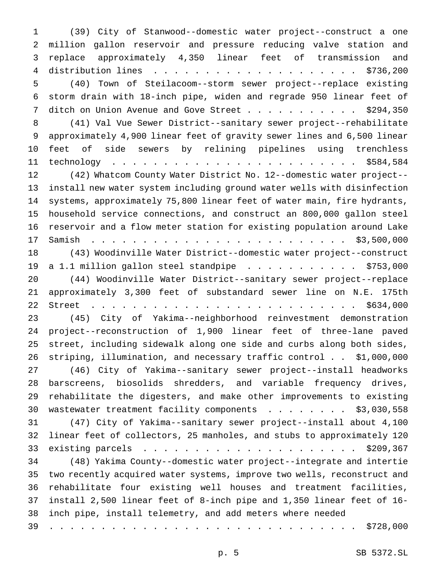(39) City of Stanwood--domestic water project--construct a one million gallon reservoir and pressure reducing valve station and replace approximately 4,350 linear feet of transmission and distribution lines .................... \$736,200 (40) Town of Steilacoom--storm sewer project--replace existing storm drain with 18-inch pipe, widen and regrade 950 linear feet of 7 ditch on Union Avenue and Gove Street . . . . . . . . . . \$294,350 (41) Val Vue Sewer District--sanitary sewer project--rehabilitate approximately 4,900 linear feet of gravity sewer lines and 6,500 linear feet of side sewers by relining pipelines using trenchless technology ........................ \$584,584 (42) Whatcom County Water District No. 12--domestic water project-- install new water system including ground water wells with disinfection systems, approximately 75,800 linear feet of water main, fire hydrants, household service connections, and construct an 800,000 gallon steel reservoir and a flow meter station for existing population around Lake Samish ......................... \$3,500,000 (43) Woodinville Water District--domestic water project--construct 19 a 1.1 million gallon steel standpipe . . . . . . . . . . . \$753,000 (44) Woodinville Water District--sanitary sewer project--replace approximately 3,300 feet of substandard sewer line on N.E. 175th Street .......................... \$634,000 (45) City of Yakima--neighborhood reinvestment demonstration project--reconstruction of 1,900 linear feet of three-lane paved street, including sidewalk along one side and curbs along both sides, striping, illumination, and necessary traffic control . . \$1,000,000 (46) City of Yakima--sanitary sewer project--install headworks barscreens, biosolids shredders, and variable frequency drives, rehabilitate the digesters, and make other improvements to existing 30 wastewater treatment facility components . . . . . . . \$3,030,558 (47) City of Yakima--sanitary sewer project--install about 4,100 linear feet of collectors, 25 manholes, and stubs to approximately 120 existing parcels ..................... \$209,367 (48) Yakima County--domestic water project--integrate and intertie two recently acquired water systems, improve two wells, reconstruct and rehabilitate four existing well houses and treatment facilities, install 2,500 linear feet of 8-inch pipe and 1,350 linear feet of 16- inch pipe, install telemetry, and add meters where needed .............................. \$728,000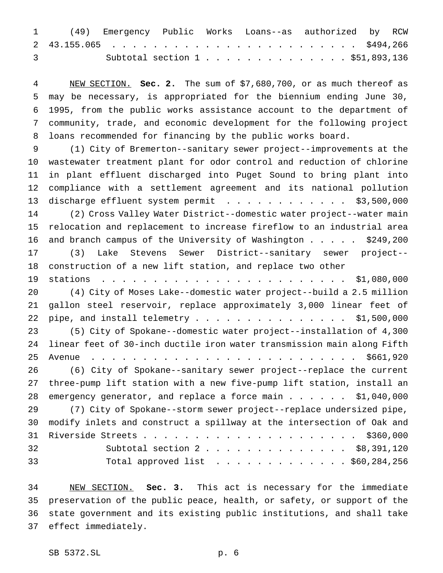|                                                                                                                                                                                                                                                                                                                                    |  |  | 1 (49) Emergency Public Works Loans--as authorized by RCW |  |
|------------------------------------------------------------------------------------------------------------------------------------------------------------------------------------------------------------------------------------------------------------------------------------------------------------------------------------|--|--|-----------------------------------------------------------|--|
|                                                                                                                                                                                                                                                                                                                                    |  |  |                                                           |  |
| $\overline{3}$ and $\overline{3}$ and $\overline{3}$ and $\overline{3}$ and $\overline{3}$ and $\overline{3}$ and $\overline{3}$ and $\overline{3}$ and $\overline{3}$ and $\overline{3}$ and $\overline{3}$ and $\overline{3}$ and $\overline{3}$ and $\overline{3}$ and $\overline{3}$ and $\overline{3}$ and $\overline{3}$ and |  |  | Subtotal section 1 \$51,893,136                           |  |

 NEW SECTION. **Sec. 2.** The sum of \$7,680,700, or as much thereof as may be necessary, is appropriated for the biennium ending June 30, 1995, from the public works assistance account to the department of community, trade, and economic development for the following project loans recommended for financing by the public works board.

 (1) City of Bremerton--sanitary sewer project--improvements at the wastewater treatment plant for odor control and reduction of chlorine in plant effluent discharged into Puget Sound to bring plant into compliance with a settlement agreement and its national pollution 13 discharge effluent system permit . . . . . . . . . . . \$3,500,000 (2) Cross Valley Water District--domestic water project--water main relocation and replacement to increase fireflow to an industrial area and branch campus of the University of Washington..... \$249,200 (3) Lake Stevens Sewer District--sanitary sewer project-- construction of a new lift station, and replace two other stations ........................ \$1,080,000 (4) City of Moses Lake--domestic water project--build a 2.5 million gallon steel reservoir, replace approximately 3,000 linear feet of 22 pipe, and install telemetry . . . . . . . . . . . . . . . \$1,500,000 (5) City of Spokane--domestic water project--installation of 4,300 linear feet of 30-inch ductile iron water transmission main along Fifth Avenue .......................... \$661,920 (6) City of Spokane--sanitary sewer project--replace the current three-pump lift station with a new five-pump lift station, install an emergency generator, and replace a force main...... \$1,040,000 (7) City of Spokane--storm sewer project--replace undersized pipe, modify inlets and construct a spillway at the intersection of Oak and Riverside Streets..................... \$360,000 32 Subtotal section 2 . . . . . . . . . . . . . \$8,391,120 Total approved list ............. \$60,284,256

 NEW SECTION. **Sec. 3.** This act is necessary for the immediate preservation of the public peace, health, or safety, or support of the state government and its existing public institutions, and shall take effect immediately.